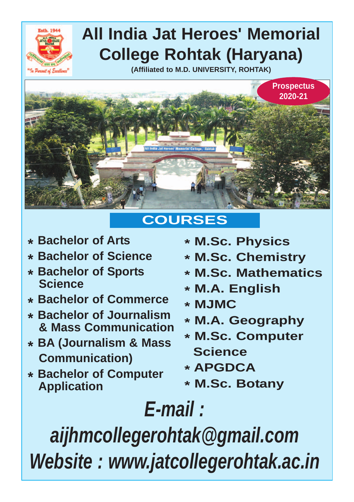

## **All India Jat Heroes' Memorial College Rohtak (Haryana)**

**(Affiliated to M.D. UNIVERSITY, ROHTAK)**



## **COURSES**

- **\* Bachelor of Arts**
- **\* Bachelor of Science**
- **\* Bachelor of Sports Science**
- **\* Bachelor of Commerce**
- **\* Bachelor of Journalism & Mass Communication**
- **\* BA (Journalism & Mass Communication)**
- **\* Bachelor of Computer Application**
- **\* M.Sc. Physics**
- **\* M.Sc. Chemistry**
- **\* M.Sc. Mathematics**
- **\* M.A. English**
- **\* MJMC**
- **\* M.A. Geography**
- **\* M.Sc. Computer Science**
- **\* APGDCA**
- **\* M.Sc. Botany**

# *E-mail : aijhmcollegerohtak@gmail.com*

*Website : www.jatcollegerohtak.ac.in*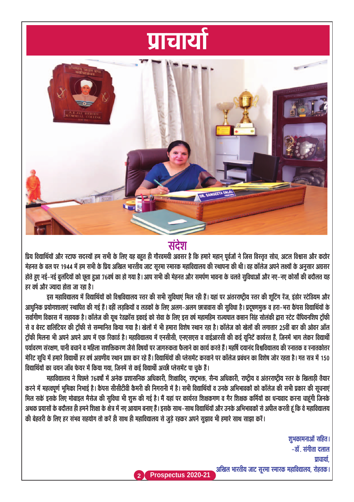## <u>प्राचार्या</u>



संदेश

प्रिय विद्यार्थियों और स्टाफ सदस्यों हम सभी के लिए यह बहुत ही गौरवमयी अवसर है कि हमारे महान पूर्वजों ने जिस विस्तृत सोच, अटल विश्वास और कठोर मेहनत के बल पर 1944 में हम सभी के प्रिय अखिल भारतीय जाट सुरमा स्मारक महाविद्यालय की स्थापना की थी। वह कॉलेज अपने लक्ष्यों के अनुसार अग्रसर होते हुए नई–नई बुलंदियों को छूता हुआ 76वर्ष का हो गया है। आप सभी की मेहनत और समर्पण भावना के चलते सुविधाओं और नए–नए कोर्सों की बदौलत यह  $\overline{\mathbf{g}}$ हर वर्ष और ज्यादा होता जा रहा है।

इस महाविद्यालय में विद्यार्थियों को विश्वविद्यालय रतर की सभी सुविधाएं मिल रही हैं। यहां पर अंतरराष्ट्रीय रतर की शूटिंग रेंज, इंडोर स्टेडियम और आधुनिक प्रयोगशालाएं स्थापित की गई हैं। वहीं लडकियों व लडकों के लिए अलग-अलग छात्रावास की सुविधा है। प्रदूषणमुक्त व हरा–भरा कैंपस विद्यार्थियों के सर्वांगीण विकास में सहायक है। कॉलेज की यथ रेडक्रॉस इकाई को सेवा के लिए इस वर्ष महामहिम राज्यपाल कप्तान सिंह सोलंकी द्वारा स्टेट चैंपियनशिप टॉफी से व बेस्ट वालिंटियर की ट्रॉफी से सम्मानित किया गया है। खेलों में भी हमारा विशेष स्थान रहा है। कॉलेज को खेलों की लगातार 25वीं बार की ओवर ऑल टॉफी मिलना भी अपने अपने आप में एक रिकार्ड है। महाविद्यालय में एनसीसी, एनएसएस व वाईआरसी की कई यनिटें कार्यरत हैं, जिनमें भाग लेकर विद्यार्थी पर्यावरण संरक्षण, पानी बचाने व महिला सशक्तिकरण जैसे विषयों पर जागरुकता फैलाने का कार्य करते हैं। महर्षि दयानंद विश्वविद्यालय की स्नातक व स्नातकोत्तर ×ोरिट सचि में हमारे विद्यार्थी हर वर्ष अग्रणीय स्थान प्राप्त कर रहे हैं। विद्यार्थियों की प्लेसमेंट करवाने पर कॉलेज प्रबंधन का विशेष जोर रहता है। गत सत्र में 150 विद्यार्थियों का चयन जॉब फेयर में किया गया, जिनमें से कई विद्यार्थी अच्छी प्लेसमेंट पा चुके हैं।

+हाविद्यालय ने पिछले 76वर्षों में अनेक प्रशासनिक अधिकारी, शिक्षाविद्, राष्ट्रभक्त, सैन्य अधिकारी, राष्ट्रीय व अंतरराष्ट्रीय स्तर के खिलाड़ी तैयार करने में महत्वपूर्ण भूमिका निभाई है। कैंपस सीसीटीवी कैमरी की निगरानी में है। सभी विद्यार्थियों व उनके अभिभावकों को कॉलेज की सभी प्रकार की सूचनाएं मिल सकें इसके लिए मोबाइल मैसेज की सुविधा भी शुरू की गई है। मैं यहां पर कार्यरत शिक्षकगण व गैर शिक्षक कर्मियों का धन्यवाद करना चाहंगी जिनके अथक प्रयासों के बदौलत ही हमने शिक्षा के क्षेत्र में नए आयाम बनाए हैं। इसके साथ–साथ विद्यार्थियों और उनके अभिभावकों से अपील करती हूं कि वे महाविद्यालय · की बेहतरी के लिए हर संभव सहयोग तो करें ही साथ ही महाविद्यालय से जुड़े रहकर अपने सुझाव भी हमारे साथ साझा करें।

> शुभकामनाओं सहित। –डॉ. संगीता दलाल णचार्या **Prospectus 2020-21** अखिल भारतीय जाट सूरमा रमारक महाविद्यालय, रोहतक।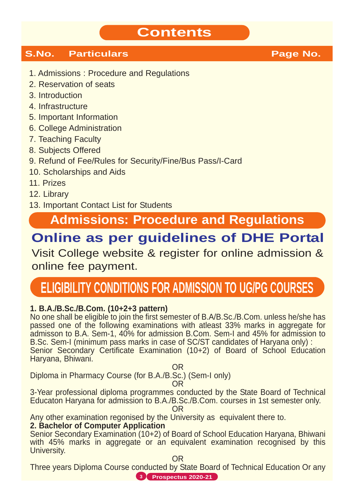## **Contents**

#### **S.No. Particulars Community Page No.**

- 1. Admissions : Procedure and Regulations
- 2. Reservation of seats
- 3. Introduction
- 4. Infrastructure
- 5. Important Information
- 6. College Administration
- 7. Teaching Faculty
- 8. Subjects Offered
- 9. Refund of Fee/Rules for Security/Fine/Bus Pass/I-Card
- 10. Scholarships and Aids
- 11. Prizes
- 12. Library
- 13. Important Contact List for Students

## **Admissions: Procedure and Regulations**

## **Online as per guidelines of DHE Portal**

Visit College website & register for online admission & online fee payment.

## **ELIGIBILITY CONDITIONS FOR ADMISSION TO UG/PG COURSES**

#### **1. B.A./B.Sc./B.Com. (10+2+3 pattern)**

No one shall be eligible to join the first semester of B.A/B.Sc./B.Com. unless he/she has passed one of the following examinations with atleast 33% marks in aggregate for admisson to B.A. Sem-1, 40% for admission B.Com. Sem-I and 45% for admission to B.Sc. Sem-I (minimum pass marks in case of SC/ST candidates of Haryana only) : Senior Secondary Certificate Examination (10+2) of Board of School Education Haryana, Bhiwani.

OR

Diploma in Pharmacy Course (for B.A./B.Sc.) (Sem-I only)

OR

3-Year professional diploma programmes conducted by the State Board of Technical Educaton Haryana for admission to B.A./B.Sc./B.Com. courses in 1st semester only.

OR

Any other examination regonised by the University as equivalent there to.

#### **2. Bachelor of Computer Application**

Senior Secondary Examination (10+2) of Board of School Education Haryana, Bhiwani with 45% marks in aggregate or an equivalent examination recognised by this University.

OR

Three years Diploma Course conducted by State Board of Technical Education Or any **3 Prospectus 2020-21**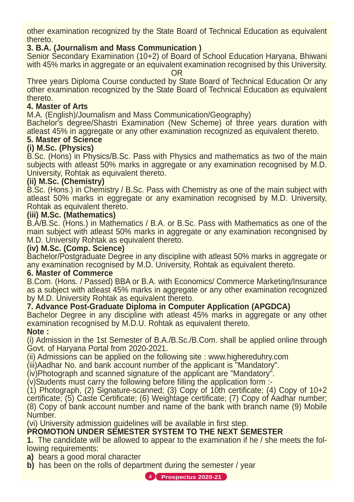other examination recognized by the State Board of Technical Education as equivalent thereto.

#### **3. B.A. (Journalism and Mass Communication )**

Senior Secondary Examination (10+2) of Board of School Education Haryana, Bhiwani with 45% marks in aggregate or an equivalent examination recognised by this University. **OR** 

Three years Diploma Course conducted by State Board of Technical Education Or any other examination recognized by the State Board of Technical Education as equivalent thereto.

#### **4. Master of Arts**

M.A. (English)/Journalism and Mass Communication/Geography)

Bachelor's degree/Shastri Examination (New Scheme) of three years duration with atleast 45% in aggregate or any other examination recognized as equivalent thereto.

#### **5. Master of Science**

#### **(i) M.Sc. (Physics)**

B.Sc. (Hons) in Physics/B.Sc. Pass with Physics and mathematics as two of the main subjects with atleast 50% marks in aggregate or any examination recognised by M.D. University, Rohtak as equivalent thereto.

#### **(ii) M.Sc. (Chemistry)**

B.Sc. (Hons.) in Chemistry / B.Sc. Pass with Chemistry as one of the main subject with atleast 50% marks in eggregate or any examination recognised by M.D. University, Rohtak as equivalent thereto.

#### **(iii) M.Sc. (Mathematics)**

B.A/B.Sc. (Hons.) in Mathematics / B.A. or B.Sc. Pass with Mathematics as one of the main subject with atleast 50% marks in aggregate or any examination recongnised by M.D. University Rohtak as equivalent thereto.

#### **(iv) M.Sc. (Comp. Science)**

Bachelor/Postgraduate Degree in any discipline with atleast 50% marks in aggregate or any examination recognised by M.D. University, Rohtak as equivalent thereto.

#### **6. Master of Commerce**

B.Com. (Hons. / Passed) BBA or B.A. with Economics/ Commerce Marketing/Insurance as a subject with atleast 45% marks in aggregate or any other examination recognized by M.D. University Rohtak as equivalent thereto.

#### **7. Advance Post-Graduate Diploma in Computer Application (APGDCA)**

Bachelor Degree in any discipline with atleast 45% marks in aggregate or any other examination recognised by M.D.U. Rohtak as equivalent thereto.

#### **Note :**

(i) Admission in the 1st Semester of B.A./B.Sc./B.Com. shall be applied online through Govt. of Haryana Portal from 2020-2021.

(ii) Admissions can be applied on the following site : www.highereduhry.com

(iii)Aadhar No. and bank account number of the applicant is "Mandatory".

(iv)Photograph and scanned signature of the applicant are "Mandatory".

(v)Students must carry the following before filling the application form :-

(1) Photograph, (2) Signature-scanned; (3) Copy of 10th certificate; (4) Copy of 10+2 certificate; (5) Caste Certificate; (6) Weightage certificate; (7) Copy of Aadhar number; (8) Copy of bank account number and name of the bank with branch name (9) Mobile Number.

(vi) University admission guidelines will be available in first step.

#### **PROMOTION UNDER SEMESTER SYSTEM TO THE NEXT SEMESTER**

**1.** The candidate will be allowed to appear to the examination if he / she meets the following requirements:

**a)** bears a good moral character

**b)** has been on the rolls of department during the semester / year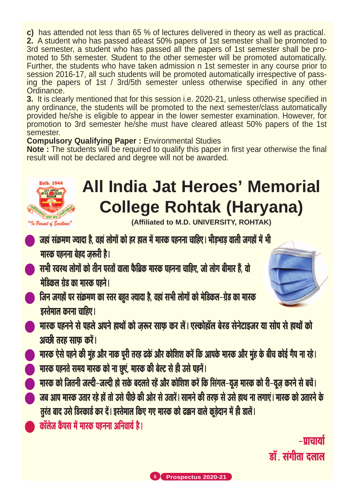**c)** has attended not less than 65 % of lectures delivered in theory as well as practical. **2.** A student who has passed atleast 50% papers of 1st semester shall be promoted to 3rd semester, a student who has passed all the papers of 1st semester shall be promoted to 5th semester. Student to the other semester will be promoted automatically. Further, the students who have taken admission n 1st semester in any course prior to session 2016-17, all such students will be promoted automatically irrespective of passing the papers of 1st / 3rd/5th semester unless otherwise specified in any other Ordinance.

**3.** It is clearly mentioned that for this session i.e. 2020-21, unless otherwise specified in any ordinance, the students will be promoted to the next semester/class automatically provided he/she is eligible to appear in the lower semester examination. However, for promotion to 3rd semester he/she must have cleared atleast 50% papers of the 1st semester.

#### **Compulsory Qualifying Paper :** Environmental Studies

**Note :** The students will be required to qualify this paper in first year otherwise the final result will not be declared and degree will not be awarded.



## **All India Jat Heroes' Memorial College Rohtak (Haryana)**

**(Affiliated to M.D. UNIVERSITY, ROHTAK)**

- जहां संक्रमण ज्यादा है, वहां लोगों को हर हाल में मारक पहनना चाहिए। भीड़भाड़ वाली जगहों में भी मारक पहनना बेहद जरूरी है।
- सभी स्वस्थ लोगों को तीन परतों वाला फैब्रिक मास्क पहनना चाहिए, जो लोग बीमार हैं, वो <u>मेडिकल ग्रेड का मास्क पहने।</u>
- जिन जगहों पर संक्रमण का रतर बहुत ज्यादा है, वहां सभी लोगों को मेडिकल-ग्रेड का मारक  $\overline{s}$ स्तेमाल करना चाहिए।
- Hरक पहनने से पहले अपने हाथों को जरूर साफ कर लें। एल्कोहॉल बेरड सेनेटाइजर या सोप से हाथों को अच्छी तरह साफ करें।
- <u>मारक ऐसे पहने की मुंह और नाक पूरी तरह ढकें और कोशिश करें कि आपके मारक और मुंह के बीच कोई गैप ना रहे।</u>
- ) मारक पहनते समय मारक को ना छुएं, मारक की बेल्ट से ही उसे पहनें |
- A मास्क को जितनी जल्दी-जल्दी हो सके बदलते रहें और कोशिश करें कि सिंगल-यूज मास्क को री-यूज करने से बचें ।
- जब आप मास्क उतार रहे हों तो उसे पीछे की ओर से उतारें। सामने की तरफ से उसे हाथ ना लगाएं। मास्क को उतारने के तुरंत बाद उसे डिस्कार्ड कर दें। इस्तेमाल किए गए मास्क को ढक्कन वाले कूड़ेदान में ही डालें।
- कॉलेज कैंपस में मारक पहनना अनिवार्य है।

 $-$ Шанај हाँ संगीता दलाल

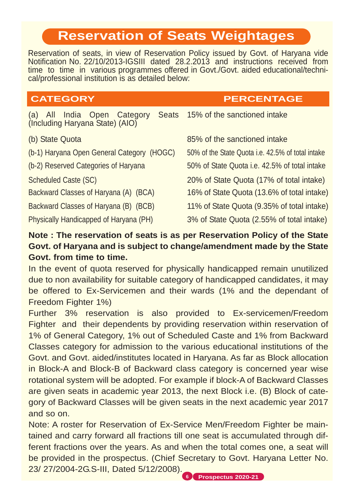## **Reservation of Seats Weightages**

Reservation of seats, in view of Reservation Policy issued by Govt. of Haryana vide Notification No. 22/10/2013-IGSIII dated 28.2.2013 and instructions received from time to time in various programmes offered in Govt./Govt. aided educational/technical/professional institution is as detailed below:

#### **CATEGORY PERCENTAGE**

(a) All India Open Category Seats (Including Haryana State) (AIO) 15% of the sanctioned intake (b) State Quota 85% of the sanctioned intake (b-1) Haryana Open General Category (HOGC) 50% of the State Quota i.e. 42.5% of total intake (b-2) Reserved Categories of Haryana 50% of State Quota i.e. 42.5% of total intake Scheduled Caste (SC) 20% of State Quota (17% of total intake) Backward Classes of Haryana (A) (BCA) 16% of State Quota (13.6% of total intake) Backward Classes of Haryana (B) (BCB) 11% of State Quota (9.35% of total intake) Physically Handicapped of Haryana (PH) 3% of State Quota (2.55% of total intake)

#### **Note : The reservation of seats is as per Reservation Policy of the State Govt. of Haryana and is subject to change/amendment made by the State Govt. from time to time.**

In the event of quota reserved for physically handicapped remain unutilized due to non availability for suitable category of handicapped candidates, it may be offered to Ex-Servicemen and their wards (1% and the dependant of Freedom Fighter 1%)

Further 3% reservation is also provided to Ex-servicemen/Freedom Fighter and their dependents by providing reservation within reservation of 1% of General Category, 1% out of Scheduled Caste and 1% from Backward Classes category for admission to the various educational institutions of the Govt. and Govt. aided/institutes located in Haryana. As far as Block allocation in Block-A and Block-B of Backward class category is concerned year wise rotational system will be adopted. For example if block-A of Backward Classes are given seats in academic year 2013, the next Block i.e. (B) Block of category of Backward Classes will be given seats in the next academic year 2017 and so on.

Note: A roster for Reservation of Ex-Service Men/Freedom Fighter be maintained and carry forward all fractions till one seat is accumulated through different fractions over the years. As and when the total comes one, a seat will be provided in the prospectus. (Chief Secretary to Govt. Haryana Letter No. 23/ 27/2004-2G.S-III, Dated 5/12/2008).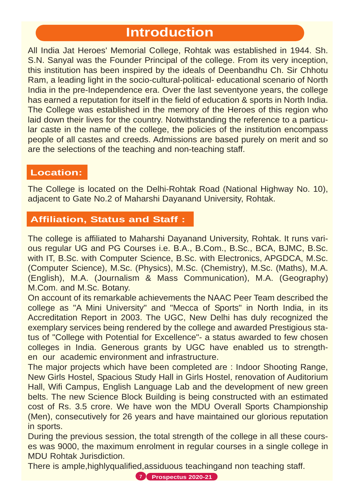## **Introduction**

All India Jat Heroes' Memorial College, Rohtak was established in 1944. Sh. S.N. Sanyal was the Founder Principal of the college. From its very inception, this institution has been inspired by the ideals of Deenbandhu Ch. Sir Chhotu Ram, a leading light in the socio-cultural-political- educational scenario of North India in the pre-Independence era. Over the last seventyone years, the college has earned a reputation for itself in the field of education & sports in North India. The College was established in the memory of the Heroes of this region who laid down their lives for the country. Notwithstanding the reference to a particular caste in the name of the college, the policies of the institution encompass people of all castes and creeds. Admissions are based purely on merit and so are the selections of the teaching and non-teaching staff.

#### **Location:**

The College is located on the Delhi-Rohtak Road (National Highway No. 10), adjacent to Gate No.2 of Maharshi Dayanand University, Rohtak.

#### **Affiliation, Status and Staff :**

The college is affiliated to Maharshi Dayanand University, Rohtak. It runs various regular UG and PG Courses i.e. B.A., B.Com., B.Sc., BCA, BJMC, B.Sc. with IT, B.Sc. with Computer Science, B.Sc. with Electronics, APGDCA, M.Sc. (Computer Science), M.Sc. (Physics), M.Sc. (Chemistry), M.Sc. (Maths), M.A. (English), M.A. (Journalism & Mass Communication), M.A. (Geography) M.Com. and M.Sc. Botany.

On account of its remarkable achievements the NAAC Peer Team described the college as "A Mini University" and "Mecca of Sports" in North India, in its Accreditation Report in 2003. The UGC, New Delhi has duly recognized the exemplary services being rendered by the college and awarded Prestigious status of "College with Potential for Excellence"- a status awarded to few chosen colleges in India. Generous grants by UGC have enabled us to strengthen our academic environment and infrastructure.

The major projects which have been completed are : Indoor Shooting Range, New Girls Hostel, Spacious Study Hall in Girls Hostel, renovation of Auditorium Hall, Wifi Campus, English Language Lab and the development of new green belts. The new Science Block Building is being constructed with an estimated cost of Rs. 3.5 crore. We have won the MDU Overall Sports Championship (Men), consecutively for 26 years and have maintained our glorious reputation in sports.

During the previous session, the total strength of the college in all these courses was 9000, the maximum enrolment in regular courses in a single college in MDU Rohtak Jurisdiction.

There is ample,highlyqualified,assiduous teachingand non teaching staff.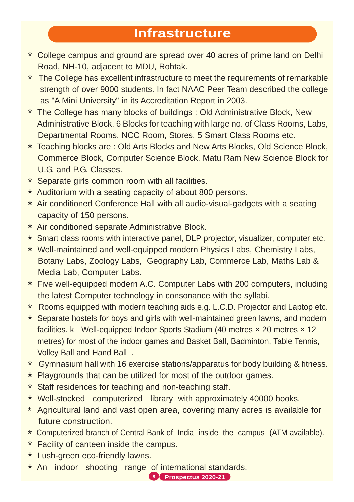## **Infrastructure**

- \* College campus and ground are spread over 40 acres of prime land on Delhi Road, NH-10, adjacent to MDU, Rohtak.
- \* The College has excellent infrastructure to meet the requirements of remarkable strength of over 9000 students. In fact NAAC Peer Team described the college as "A Mini University" in its Accreditation Report in 2003.
- \* The College has many blocks of buildings : Old Administrative Block, New Administrative Block, 6 Blocks for teaching with large no. of Class Rooms, Labs, Departmental Rooms, NCC Room, Stores, 5 Smart Class Rooms etc.
- \* Teaching blocks are : Old Arts Blocks and New Arts Blocks, Old Science Block, Commerce Block, Computer Science Block, Matu Ram New Science Block for U.G. and P.G. Classes.
- \* Separate girls common room with all facilities.
- \* Auditorium with a seating capacity of about 800 persons.
- \* Air conditioned Conference Hall with all audio-visual-gadgets with a seating capacity of 150 persons.
- \* Air conditioned separate Administrative Block.
- \* Smart class rooms with interactive panel, DLP projector, visualizer, computer etc.
- \* Well-maintained and well-equipped modern Physics Labs, Chemistry Labs, Botany Labs, Zoology Labs, Geography Lab, Commerce Lab, Maths Lab & Media Lab, Computer Labs.
- \* Five well-equipped modern A.C. Computer Labs with 200 computers, including the latest Computer technology in consonance with the syllabi.
- \* Rooms equipped with modern teaching aids e.g. L.C.D. Projector and Laptop etc.
- \* Separate hostels for boys and girls with well-maintained green lawns, and modern facilities. k Well-equipped Indoor Sports Stadium (40 metres × 20 metres × 12 metres) for most of the indoor games and Basket Ball, Badminton, Table Tennis, Volley Ball and Hand Ball .
- \* Gymnasium hall with 16 exercise stations/apparatus for body building & fitness.
- \* Playgrounds that can be utilized for most of the outdoor games.
- \* Staff residences for teaching and non-teaching staff.
- \* Well-stocked computerized library with approximately 40000 books.
- \* Agricultural land and vast open area, covering many acres is available for future construction.
- \* Computerized branch of Central Bank of India inside the campus (ATM available).
- \* Facility of canteen inside the campus.
- \* Lush-green eco-friendly lawns.
- \* An indoor shooting range of international standards.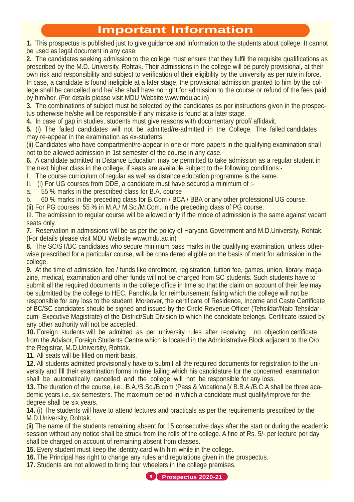#### **Important Information**

**1.** This prospectus is published just to give guidance and information to the students about college. It cannot be used as legal document in any case.

**2.** The candidates seeking admission to the college must ensure that they fulfil the requisite qualifications as prescribed by the M.D. University, Rohtak. Their admissions in the college will be purely provisional, at their own risk and responsibility and subject to verification of their eligibility by the university as per rule in force. In case, a candidate is found ineligible at a later stage, the provisional admission granted to him by the college shall be cancelled and he/ she shall have no right for admission to the course or refund of the fees paid by him/her. (For details please visit MDU Website www.mdu.ac.in)

**3.** The combinations of subject must be selected by the candidates as per instructions given in the prospectus otherwise he/she will be responsible if any mistake is found at a later stage.

**4.** In case of gap in studies, students must give reasons with documentary proof/ affidavit.

**5.** (i) The failed candidates will not be admitted/re-admitted in the College. The failed candidates may re-appear in the examination as ex-students.

(ii) Candidates who have compartment/re-appear in one or more papers in the qualifying examination shall not to be allowed admission in 1st semester of the course in any case.

**6.** A candidate admitted in Distance Education may be permitted to take admission as a regular student in the next higher class in the college, if seats are available subject to the following conditions:-

I. The course curriculum of regular as well as distance education programme is the same.

II. (i) For UG courses from DDE, a candidate must have secured a minimum of :-

a. 55 % marks in the prescribed class for B.A. course

b. 60 % marks in the preceding class for B.Com / BCA / BBA or any other professional UG course.

(ii) For PG courses: 55 % in M.A./ M.Sc./M.Com. in the preceding class of PG course.

III. The admission to regular course will be allowed only if the mode of admission is the same against vacant seats only.

**7.** Reservation in admissions will be as per the policy of Haryana Government and M.D.University, Rohtak. (For details please visit MDU Website www.mdu.ac.in)

**8.** The SC/ST/BC candidates who secure minimum pass marks in the qualifying examination, unless otherwise prescribed for a particular course, will be considered eligible on the basis of merit for admission in the college.

**9.** At the time of admission, fee / funds like enrolment, registration, tuition fee, games, union, library, magazine, medical, examination and other funds will not be charged from SC students. Such students have to submit all the required documents in the college office in time so that the claim on account of their fee may be submitted by the college to HEC, Panchkula for reimbursement failing which the college will not be responsible for any loss to the student. Moreover, the certificate of Residence, Income and Caste Certificate of BC/SC candidates should be signed and issued by the Circle Revenue Officer (Tehsildar/Naib Tehsildarcum- Executive Magistrate) of the District/Sub Division to which the candidate belongs. Certificate issued by any other authority will not be accepted.

**10.** Foreign students will be admitted as per university rules after receiving no objection certificate from the Advisor, Foreign Students Centre which is located in the Administrative Block adjacent to the O/o the Registrar, M.D.University, Rohtak.

**11.** All seats will be filled on merit basis.

**12.** All students admitted provisionally have to submit all the required documents for registration to the university and fill their examination forms in time failing which his candidature for the concerned examination shall be automatically cancelled and the college will not be responsible for any loss.

**13.** The duration of the course, i.e., B.A./B.Sc./B.com (Pass & Vocational)/ B.B.A./B.C.A shall be three academic years i.e. six semesters. The maximum period in which a candidate must qualify/improve for the degree shall be six years.

**14.** (i) The students will have to attend lectures and practicals as per the requirements prescribed by the M.D.University, Rohtak.

(ii) The name of the students remaining absent for 15 consecutive days after the start or during the academic session without any notice shall be struck from the rolls of the college. A fine of Rs. 5/- per lecture per day shall be charged on account of remaining absent from classes.

**15.** Every student must keep the identity card with him while in the college.

**16.** The Principal has right to change any rules and regulations given in the prospectus.

**17.** Students are not allowed to bring four wheelers in the college premises.

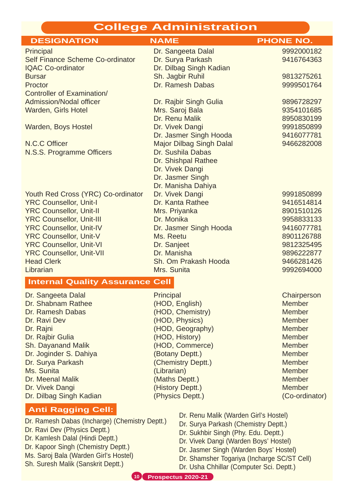#### **College Administration**

| <b>DESIGNATION</b>                                              | <b>NAME</b>                                                                   | <b>PHONE NO.</b>               |
|-----------------------------------------------------------------|-------------------------------------------------------------------------------|--------------------------------|
| Principal                                                       | Dr. Sangeeta Dalal                                                            | 9992000182                     |
| Self Finance Scheme Co-ordinator                                | Dr. Surya Parkash                                                             | 9416764363                     |
| <b>IQAC Co-ordinator</b>                                        | Dr. Dilbag Singh Kadian                                                       |                                |
| <b>Bursar</b>                                                   | Sh. Jagbir Ruhil                                                              | 9813275261                     |
| Proctor                                                         | Dr. Ramesh Dabas                                                              | 9999501764                     |
| Controller of Examination/<br><b>Admission/Nodal officer</b>    |                                                                               | 9896728297                     |
| Warden, Girls Hotel                                             | Dr. Rajbir Singh Gulia<br>Mrs. Saroj Bala                                     | 9354101685                     |
|                                                                 | Dr. Renu Malik                                                                | 8950830199                     |
| Warden, Boys Hostel                                             | Dr. Vivek Dangi                                                               | 9991850899                     |
|                                                                 | Dr. Jasmer Singh Hooda                                                        | 9416077781                     |
| N.C.C Officer                                                   | <b>Major Dilbag Singh Dalal</b>                                               | 9466282008                     |
| N.S.S. Programme Officers                                       | Dr. Sushila Dabas                                                             |                                |
|                                                                 | Dr. Shishpal Rathee                                                           |                                |
|                                                                 | Dr. Vivek Dangi                                                               |                                |
|                                                                 | Dr. Jasmer Singh                                                              |                                |
|                                                                 | Dr. Manisha Dahiya                                                            |                                |
| Youth Red Cross (YRC) Co-ordinator                              | Dr. Vivek Dangi                                                               | 9991850899                     |
| <b>YRC Counsellor, Unit-I</b><br><b>YRC Counsellor, Unit-II</b> | Dr. Kanta Rathee<br>Mrs. Priyanka                                             | 9416514814<br>8901510126       |
| <b>YRC Counsellor, Unit-III</b>                                 | Dr. Monika                                                                    | 9958833133                     |
| <b>YRC Counsellor, Unit-IV</b>                                  | Dr. Jasmer Singh Hooda                                                        | 9416077781                     |
| <b>YRC Counsellor, Unit-V</b>                                   | Ms. Reetu                                                                     | 8901126788                     |
| <b>YRC Counsellor, Unit-VI</b>                                  | Dr. Sanjeet                                                                   | 9812325495                     |
| <b>YRC Counsellor, Unit-VII</b>                                 | Dr. Manisha                                                                   | 9896222877                     |
| <b>Head Clerk</b>                                               | Sh. Om Prakash Hooda                                                          | 9466281426                     |
| Librarian                                                       | Mrs. Sunita                                                                   | 9992694000                     |
| <b>Internal Quality Assurance Cell</b>                          |                                                                               |                                |
| Dr. Sangeeta Dalal                                              | Principal                                                                     | Chairperson                    |
| Dr. Shabnam Rathee                                              | (HOD, English)                                                                | <b>Member</b>                  |
| Dr. Ramesh Dabas                                                | (HOD, Chemistry)                                                              | <b>Member</b>                  |
| Dr. Ravi Dev                                                    | (HOD, Physics)                                                                | <b>Member</b>                  |
| Dr. Rajni                                                       | (HOD, Geography)                                                              | <b>Member</b>                  |
| Dr. Rajbir Gulia                                                | (HOD, History)                                                                | <b>Member</b>                  |
| Sh. Dayanand Malik                                              | (HOD, Commerce)                                                               | <b>Member</b>                  |
| Dr. Joginder S. Dahiya                                          | (Botany Deptt.)                                                               | <b>Member</b>                  |
| Dr. Surya Parkash<br>Ms. Sunita                                 | (Chemistry Deptt.)                                                            | <b>Member</b><br><b>Member</b> |
| Dr. Meenal Malik                                                | (Librarian)<br>(Maths Deptt.)                                                 | <b>Member</b>                  |
| Dr. Vivek Dangi                                                 | (History Deptt.)                                                              | <b>Member</b>                  |
| Dr. Dilbag Singh Kadian                                         | (Physics Deptt.)                                                              | (Co-ordinator)                 |
| <b>Anti Ragging Cell:</b>                                       |                                                                               |                                |
| Dr. Ramesh Dabas (Incharge) (Chemistry Deptt.)                  | Dr. Renu Malik (Warden Girl's Hostel)<br>Dr. Surya Parkash (Chemistry Deptt.) |                                |
| Dr. Ravi Dev (Physics Deptt.)                                   | Dr. Sukhbir Singh (Phy Edu Dentt)                                             |                                |

- Dr. Sukhbir Singh (Phy. Edu. Deptt.)
- Dr. Vivek Dangi (Warden Boys' Hostel)
- Dr. Jasmer Singh (Warden Boys' Hostel)
- Dr. Shamsher Togariya (Incharge SC/ST Cell)
- Dr. Usha Chhillar (Computer Sci. Deptt.)

**10 Prospectus 2020-21**

Dr. Kamlesh Dalal (Hindi Deptt.) Dr. Kapoor Singh (Chemistry Deptt.) Ms. Saroj Bala (Warden Girl's Hostel) Sh. Suresh Malik (Sanskrit Deptt.)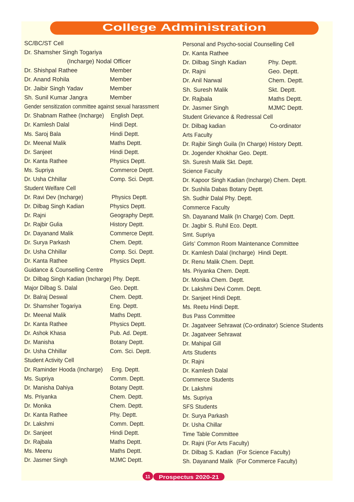#### **College Administration**

#### SC/BC/ST Cell

| Dr. Shamsher Singh Togariya                              |                       | Dr. Kanta Rathee                               |                  |
|----------------------------------------------------------|-----------------------|------------------------------------------------|------------------|
| (Incharge) Nodal Officer                                 |                       | Dr. Dilbag Singh Kadian                        | Phy. Deptt.      |
| Dr. Shishpal Rathee                                      | Member                | Dr. Rajni                                      | Geo. Deptt       |
| Dr. Anand Rohila                                         | <b>Member</b>         | Dr. Anil Narwal                                | Chem. Dep        |
| Dr. Jaibir Singh Yadav                                   | <b>Member</b>         | Sh. Suresh Malik                               | Skt. Deptt.      |
| Sh. Sunil Kumar Jangra                                   | Member                | Dr. Rajbala                                    | <b>Maths Dep</b> |
| Gender sensitization committee against sexual harassment |                       | Dr. Jasmer Singh                               | <b>MJMC Dep</b>  |
| Dr. Shabnam Rathee (Incharge)                            | English Dept.         | Student Grievance & Redressal Cell             |                  |
| Dr. Kamlesh Dalal                                        | Hindi Dept.           | Dr. Dilbag kadian                              | Co-ordinato      |
| Ms. Saroj Bala                                           | Hindi Deptt.          | <b>Arts Faculty</b>                            |                  |
| Dr. Meenal Malik                                         | Maths Deptt.          | Dr. Rajbir Singh Guila (In Charge) History Dep |                  |
| Dr. Sanjeet                                              | Hindi Deptt.          | Dr. Jogender Khokhar Geo. Deptt.               |                  |
| Dr. Kanta Rathee                                         | Physics Deptt.        | Sh. Suresh Malik Skt. Deptt.                   |                  |
| Ms. Supriya                                              | Commerce Deptt.       | <b>Science Faculty</b>                         |                  |
| Dr. Usha Chhillar                                        | Comp. Sci. Deptt.     | Dr. Kapoor Singh Kadian (Incharge) Chem. De    |                  |
| <b>Student Welfare Cell</b>                              |                       | Dr. Sushila Dabas Botany Deptt.                |                  |
| Dr. Ravi Dev (Incharge)                                  | Physics Deptt.        | Sh. Sudhir Dalal Phy. Deptt.                   |                  |
| Dr. Dilbag Singh Kadian                                  | Physics Deptt.        | <b>Commerce Faculty</b>                        |                  |
| Dr. Rajni                                                | Geography Deptt.      | Sh. Dayanand Malik (In Charge) Com. Deptt.     |                  |
| Dr. Rajbir Gulia                                         | <b>History Deptt.</b> | Dr. Jagbir S. Ruhil Eco. Deptt.                |                  |
| Dr. Dayanand Malik                                       | Commerce Deptt.       | Smt. Supriya                                   |                  |
| Dr. Surya Parkash                                        | Chem. Deptt.          | Girls' Common Room Maintenance Committee       |                  |
| Dr. Usha Chhillar                                        | Comp. Sci. Deptt.     | Dr. Kamlesh Dalal (Incharge) Hindi Deptt.      |                  |
| Dr. Kanta Rathee                                         | Physics Deptt.        | Dr. Renu Malik Chem. Deptt.                    |                  |
| <b>Guidance &amp; Counselling Centre</b>                 |                       | Ms. Priyanka Chem. Deptt.                      |                  |
| Dr. Dilbag Singh Kadian (Incharge) Phy. Deptt.           |                       | Dr. Monika Chem. Deptt.                        |                  |
| Major Dilbag S. Dalal                                    | Geo. Deptt.           | Dr. Lakshmi Devi Comm. Deptt.                  |                  |
| Dr. Balraj Deswal                                        | Chem. Deptt.          | Dr. Sanjeet Hindi Deptt.                       |                  |
| Dr. Shamsher Togariya                                    | Eng. Deptt.           | Ms. Reetu Hindi Deptt.                         |                  |
| Dr. Meenal Malik                                         | Maths Deptt.          | <b>Bus Pass Committee</b>                      |                  |
| Dr. Kanta Rathee                                         | Physics Deptt.        | Dr. Jagatveer Sehrawat (Co-ordinator) Science  |                  |
| Dr. Ashok Khasa                                          | Pub. Ad. Deptt.       | Dr. Jagatveer Sehrawat                         |                  |
| Dr. Manisha                                              | Botany Deptt.         | Dr. Mahipal Gill                               |                  |
| Dr. Usha Chhillar                                        | Com. Sci. Deptt.      | <b>Arts Students</b>                           |                  |
| <b>Student Activity Cell</b>                             |                       | Dr. Rajni                                      |                  |
| Dr. Raminder Hooda (Incharge)                            | Eng. Deptt.           | Dr. Kamlesh Dalal                              |                  |
| Ms. Supriya                                              | Comm. Deptt.          | <b>Commerce Students</b>                       |                  |
| Dr. Manisha Dahiya                                       | Botany Deptt.         | Dr. Lakshmi                                    |                  |
| Ms. Priyanka                                             | Chem. Deptt.          | Ms. Supriya                                    |                  |
| Dr. Monika                                               | Chem. Deptt.          | <b>SFS Students</b>                            |                  |
| Dr. Kanta Rathee                                         | Phy. Deptt.           | Dr. Surya Parkash                              |                  |
| Dr. Lakshmi                                              | Comm. Deptt.          | Dr. Usha Chillar                               |                  |
| Dr. Sanjeet                                              | Hindi Deptt.          | <b>Time Table Committee</b>                    |                  |
| Dr. Rajbala                                              | Maths Deptt.          | Dr. Rajni (For Arts Faculty)                   |                  |
| Ms. Meenu                                                | Maths Deptt.          | Dr. Dilbag S. Kadian (For Science Faculty)     |                  |
| Dr. Jasmer Singh                                         | MJMC Deptt.           | Sh. Dayanand Malik (For Commerce Faculty)      |                  |

Personal and Psycho-social Counselling Cell Dr. Kanta Rathee Dr. Dilbag Singh Kadian Phy. Deptt. Dr. Rajni Geo. Deptt. Dr. Anil Narwal Chem. Deptt. Sh. Suresh Malik Skt. Deptt. Dr. Rajbala Maths Deptt. Dr. Jasmer Singh MJMC Deptt. Student Grievance & Redressal Cell Dr. Dilbag kadian Co-ordinator Arts Faculty Dr. Rajbir Singh Guila (In Charge) History Deptt. Dr. Jogender Khokhar Geo. Deptt. Sh. Suresh Malik Skt. Deptt. Science Faculty Dr. Kapoor Singh Kadian (Incharge) Chem. Deptt. Dr. Sushila Dabas Botany Deptt. Sh. Sudhir Dalal Phy. Deptt. Commerce Faculty Sh. Dayanand Malik (In Charge) Com. Deptt. Dr. Jagbir S. Ruhil Eco. Deptt. Smt. Supriya Girls' Common Room Maintenance Committee Dr. Kamlesh Dalal (Incharge) Hindi Deptt. Dr. Renu Malik Chem. Deptt. Ms. Priyanka Chem. Deptt. Dr. Monika Chem. Deptt. Dr. Lakshmi Devi Comm. Deptt. Dr. Sanjeet Hindi Deptt. Ms. Reetu Hindi Deptt. Bus Pass Committee Dr. Jagatveer Sehrawat (Co-ordinator) Science Students Dr. Jagatveer Sehrawat Dr. Mahipal Gill Arts Students Dr. Rajni Dr. Kamlesh Dalal Commerce Students Dr. Lakshmi Ms. Supriya SFS Students Dr. Surya Parkash Dr. Usha Chillar Time Table Committee Dr. Rajni (For Arts Faculty) Dr. Dilbag S. Kadian (For Science Faculty)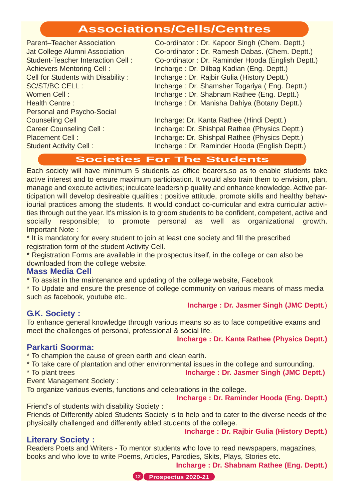#### **Associations/Cells/Centres**

| <b>Parent-Teacher Association</b>        | Co-ordinator: Dr. Kapoor Singh (Chem. Deptt.)     |
|------------------------------------------|---------------------------------------------------|
| Jat College Alumni Association           | Co-ordinator: Dr. Ramesh Dabas. (Chem. Deptt.)    |
| <b>Student-Teacher Interaction Cell:</b> | Co-ordinator: Dr. Raminder Hooda (English Deptt.) |
| <b>Achievers Mentoring Cell:</b>         | Incharge: Dr. Dilbag Kadian (Eng. Deptt.)         |
| Cell for Students with Disability:       | Incharge: Dr. Rajbir Gulia (History Deptt.)       |
| <b>SC/ST/BC CELL:</b>                    | Incharge: Dr. Shamsher Togariya (Eng. Deptt.)     |
| Women Cell:                              | Incharge: Dr. Shabnam Rathee (Eng. Deptt.)        |
| <b>Health Centre:</b>                    | Incharge: Dr. Manisha Dahiya (Botany Deptt.)      |
| Personal and Psycho-Social               |                                                   |
| <b>Counseling Cell</b>                   | Incharge: Dr. Kanta Rathee (Hindi Deptt.)         |
| <b>Career Counseling Cell:</b>           | Incharge: Dr. Shishpal Rathee (Physics Deptt.)    |
| <b>Placement Cell:</b>                   | Incharge: Dr. Shishpal Rathee (Physics Deptt.)    |
| <b>Student Activity Cell:</b>            | Incharge: Dr. Raminder Hooda (English Deptt.)     |
|                                          |                                                   |

#### **Societies For The Students**

Each society will have minimum 5 students as office bearers,so as to enable students take active interest and to ensure maximum participation. It would also train them to envision, plan, manage and execute activities; inculcate leadership quality and enhance knowledge. Active participation will develop desireable qualities : positive attitude, promote skills and healthy behaviourial practices among the students. It would conduct co-curricular and extra curricular activities through out the year. It's mission is to groom students to be confident, competent, active and socially responsible; to promote personal as well as organizational growth. Important Note :

\* It is mandatory for every student to join at least one society and fill the prescribed registration form of the student Activity Cell.

\* Registration Forms are available in the prospectus itself, in the college or can also be downloaded from the college website.

#### **Mass Media Cell**

\* To assist in the maintenance and updating of the college website, Facebook

\* To Update and ensure the presence of college community on various means of mass media such as facebook, youtube etc..

#### **G.K. Society :**

#### **Incharge : Dr. Jasmer Singh (JMC Deptt.**)

To enhance general knowledge through various means so as to face competitive exams and meet the challenges of personal, professional & social life.

#### **Parkarti Soorma:**

\* To champion the cause of green earth and clean earth.

\* To take care of plantation and other environmental issues in the college and surrounding.

\* To plant trees **Incharge : Dr. Jasmer Singh (JMC Deptt.)**

Event Management Society :

To organize various events, functions and celebrations in the college.

**Incharge : Dr. Raminder Hooda (Eng. Deptt.)**

Friend's of students with disability Society : Friends of Differently abled Students Society is to help and to cater to the diverse needs of the physically challenged and differently abled students of the college.

#### **Literary Society :**

Readers Poets and Writers - To mentor students who love to read newspapers, magazines, books and who love to write Poems, Articles, Parodies, Skits, Plays, Stories etc.

**Incharge : Dr. Shabnam Rathee (Eng. Deptt.)**

**Incharge : Dr. Rajbir Gulia (History Deptt.)**



**Incharge : Dr. Kanta Rathee (Physics Deptt.)**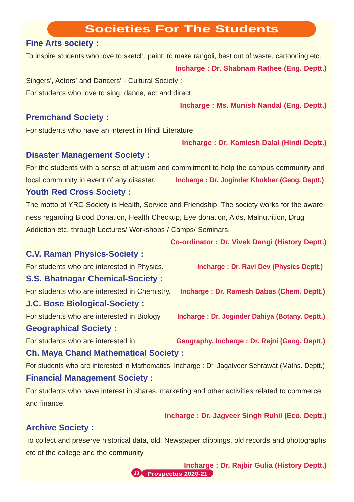#### **Societies For The Students**

#### **Fine Arts society :**

To inspire students who love to sketch, paint, to make rangoli, best out of waste, cartooning etc. **Incharge : Dr. Shabnam Rathee (Eng. Deptt.)** Singers', Actors' and Dancers' - Cultural Society :

For students who love to sing, dance, act and direct.

**Incharge : Ms. Munish Nandal (Eng. Deptt.)**

#### **Premchand Society :**

For students who have an interest in Hindi Literature.

**Incharge : Dr. Kamlesh Dalal (Hindi Deptt.)**

#### **Disaster Management Society :**

For the students with a sense of altruism and commitment to help the campus community and local community in event of any disaster. **Incharge : Dr. Joginder Khokhar (Geog. Deptt.)**

#### **Youth Red Cross Society :**

The motto of YRC-Society is Health, Service and Friendship. The society works for the awareness regarding Blood Donation, Health Checkup, Eye donation, Aids, Malnutrition, Drug Addiction etc. through Lectures/ Workshops / Camps/ Seminars.

**Co-ordinator : Dr. Vivek Dangi (History Deptt.)**

#### **C.V. Raman Physics-Society :**

For students who are interested in Physics. **Incharge : Dr. Ravi Dev (Physics Deptt.)**

#### **S.S. Bhatnagar Chemical-Society :**

For students who are interested in Chemistry. **Incharge : Dr. Ramesh Dabas (Chem. Deptt.)**

#### **J.C. Bose Biological-Society :**

For students who are interested in Biology. **Incharge : Dr. Joginder Dahiya (Botany. Deptt.)**

#### **Geographical Society :**

For students who are interested in **Geography. Incharge : Dr. Rajni (Geog. Deptt.)**

#### **Ch. Maya Chand Mathematical Society :**

For students who are interested in Mathematics. Incharge : Dr. Jagatveer Sehrawat (Maths. Deptt.) **Financial Management Society :**

For students who have interest in shares, marketing and other activities related to commerce and finance.

**Incharge : Dr. Jagveer Singh Ruhil (Eco. Deptt.)**

#### **Archive Society :**

To collect and preserve historical data, old, Newspaper clippings, old records and photographs etc of the college and the community.

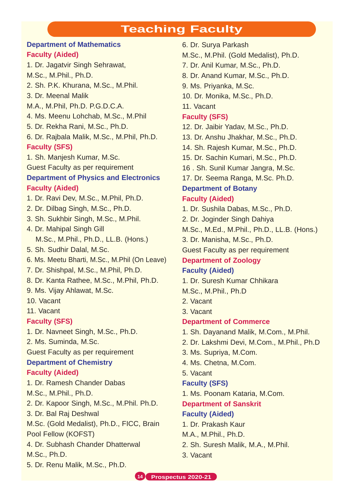#### **Teaching Faculty**

#### **Department of Mathematics Faculty (Aided)**

1. Dr. Jagatvir Singh Sehrawat, M.Sc., M.Phil., Ph.D. 2. Sh. P.K. Khurana, M.Sc., M.Phil. 3. Dr. Meenal Malik M.A., M.Phil, Ph.D. P.G.D.C.A. 4. Ms. Meenu Lohchab, M.Sc., M.Phil 5. Dr. Rekha Rani, M.Sc., Ph.D. 6. Dr. Rajbala Malik, M.Sc., M.Phil, Ph.D. **Faculty (SFS)** 1. Sh. Manjesh Kumar, M.Sc. Guest Faculty as per requirement **Department of Physics and Electronics Faculty (Aided)** 1. Dr. Ravi Dev, M.Sc., M.Phil, Ph.D. 2. Dr. Dilbag Singh, M.Sc., Ph.D. 3. Sh. Sukhbir Singh, M.Sc., M.Phil. 4. Dr. Mahipal Singh Gill M.Sc., M.Phil., Ph.D., LL.B. (Hons.) 5. Sh. Sudhir Dalal, M.Sc. 6. Ms. Meetu Bharti, M.Sc., M.Phil (On Leave) 7. Dr. Shishpal, M.Sc., M.Phil, Ph.D. 8. Dr. Kanta Rathee, M.Sc., M.Phil, Ph.D. 9. Ms. Vijay Ahlawat, M.Sc. 10. Vacant 11. Vacant **Faculty (SFS)** 1. Dr. Navneet Singh, M.Sc., Ph.D. 2. Ms. Suminda, M.Sc.

Guest Faculty as per requirement

#### **Department of Chemistry**

#### **Faculty (Aided)**

1. Dr. Ramesh Chander Dabas

M.Sc., M.Phil., Ph.D.

2. Dr. Kapoor Singh, M.Sc., M.Phil. Ph.D.

3. Dr. Bal Raj Deshwal

M.Sc. (Gold Medalist), Ph.D., FICC, Brain Pool Fellow (KOFST)

4. Dr. Subhash Chander Dhatterwal

M.Sc., Ph.D.

5. Dr. Renu Malik, M.Sc., Ph.D.

- 6. Dr. Surya Parkash
- M.Sc., M.Phil. (Gold Medalist), Ph.D.
- 7. Dr. Anil Kumar, M.Sc., Ph.D.
- 8. Dr. Anand Kumar, M.Sc., Ph.D.
- 9. Ms. Priyanka, M.Sc.
- 10. Dr. Monika, M.Sc., Ph.D.
- 11. Vacant

#### **Faculty (SFS)**

- 12. Dr. Jaibir Yadav, M.Sc., Ph.D.
- 13. Dr. Anshu Jhakhar, M.Sc., Ph.D.
- 14. Sh. Rajesh Kumar, M.Sc., Ph.D.
- 15. Dr. Sachin Kumari, M.Sc., Ph.D.
- 16 . Sh. Sunil Kumar Jangra, M.Sc.
- 17. Dr. Seema Ranga, M.Sc. Ph.D.

#### **Department of Botany Faculty (Aided)**

- 1. Dr. Sushila Dabas, M.Sc., Ph.D.
- 2. Dr. Joginder Singh Dahiya
- M.Sc., M.Ed., M.Phil., Ph.D., LL.B. (Hons.)

3. Dr. Manisha, M.Sc., Ph.D.

Guest Faculty as per requirement

#### **Department of Zoology Faculty (Aided)**

- 
- 1. Dr. Suresh Kumar Chhikara
- M.Sc., M.Phil., Ph.D
- 2. Vacant
- 3. Vacant

#### **Department of Commerce**

- 1. Sh. Dayanand Malik, M.Com., M.Phil.
- 2. Dr. Lakshmi Devi, M.Com., M.Phil., Ph.D
- 3. Ms. Supriya, M.Com.
- 4. Ms. Chetna, M.Com.
- 5. Vacant

#### **Faculty (SFS)**

1. Ms. Poonam Kataria, M.Com.

**Department of Sanskrit**

#### **Faculty (Aided)**

- 1. Dr. Prakash Kaur
- M.A., M.Phil., Ph.D.
- 2. Sh. Suresh Malik, M.A., M.Phil.
- 3. Vacant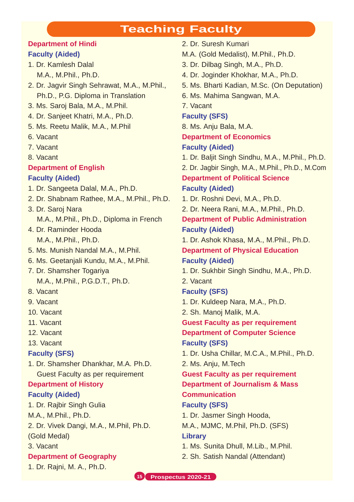#### **Teaching Faculty**

#### **Department of Hindi Faculty (Aided)**

1. Dr. Kamlesh Dalal M.A., M.Phil., Ph.D.

- 2. Dr. Jagvir Singh Sehrawat, M.A., M.Phil., Ph.D., P.G. Diploma in Translation
- 3. Ms. Saroj Bala, M.A., M.Phil.
- 4. Dr. Sanjeet Khatri, M.A., Ph.D.
- 5. Ms. Reetu Malik, M.A., M.Phil
- 6. Vacant
- 7. Vacant
- 8. Vacant

#### **Department of English**

#### **Faculty (Aided)**

- 1. Dr. Sangeeta Dalal, M.A., Ph.D.
- 2. Dr. Shabnam Rathee, M.A., M.Phil., Ph.D.
- 3. Dr. Saroj Nara M.A., M.Phil., Ph.D., Diploma in French
- 4. Dr. Raminder Hooda M.A., M.Phil., Ph.D.
- 5. Ms. Munish Nandal M.A., M.Phil.
- 6. Ms. Geetanjali Kundu, M.A., M.Phil.
- 7. Dr. Shamsher Togariya M.A., M.Phil., P.G.D.T., Ph.D.
- 8. Vacant
- 9. Vacant
- 10. Vacant
- 11. Vacant
- 12. Vacant
- 13. Vacant

#### **Faculty (SFS)**

1. Dr. Shamsher Dhankhar, M.A. Ph.D. Guest Faculty as per requirement

#### **Department of History**

#### **Faculty (Aided)**

1. Dr. Rajbir Singh Gulia

M.A., M.Phil., Ph.D.

2. Dr. Vivek Dangi, M.A., M.Phil, Ph.D.

(Gold Medal)

3. Vacant

#### **Department of Geography**

1. Dr. Rajni, M. A., Ph.D.

- 2. Dr. Suresh Kumari
- M.A. (Gold Medalist), M.Phil., Ph.D.
- 3. Dr. Dilbag Singh, M.A., Ph.D.
- 4. Dr. Joginder Khokhar, M.A., Ph.D.
- 5. Ms. Bharti Kadian, M.Sc. (On Deputation)
- 6. Ms. Mahima Sangwan, M.A.

7. Vacant

#### **Faculty (SFS)**

8. Ms. Anju Bala, M.A.

#### **Department of Economics Faculty (Aided)**

- 1. Dr. Baljit Singh Sindhu, M.A., M.Phil., Ph.D.
- 2. Dr. Jagbir Singh, M.A., M.Phil., Ph.D., M.Com

#### **Department of Political Science Faculty (Aided)**

- 1. Dr. Roshni Devi, M.A., Ph.D.
- 2. Dr. Neera Rani, M.A., M.Phil., Ph.D.

#### **Department of Public Administration Faculty (Aided)**

- 1. Dr. Ashok Khasa, M.A., M.Phil., Ph.D.
- **Department of Physical Education**

#### **Faculty (Aided)**

1. Dr. Sukhbir Singh Sindhu, M.A., Ph.D.

2. Vacant

#### **Faculty (SFS)**

- 1. Dr. Kuldeep Nara, M.A., Ph.D.
- 2. Sh. Manoj Malik, M.A.

**Guest Faculty as per requirement Department of Computer Science Faculty (SFS)**

- 1. Dr. Usha Chillar, M.C.A., M.Phil., Ph.D.
- 2. Ms. Anju, M.Tech

#### **Guest Faculty as per requirement Department of Journalism & Mass Communication**

#### **Faculty (SFS)**

1. Dr. Jasmer Singh Hooda,

M.A., MJMC, M.Phil, Ph.D. (SFS) **Library**

- 1. Ms. Sunita Dhull, M.Lib., M.Phil.
- 2. Sh. Satish Nandal (Attendant)

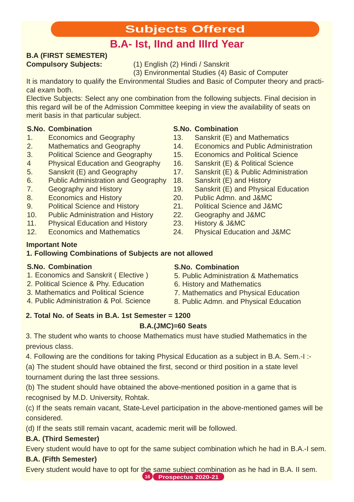### **Subjects Offered**

### **B.A- Ist, IInd and IIIrd Year**

## **B.A (FIRST SEMESTER)**

**Compulsory Subjects:** (1) English (2) Hindi / Sanskrit

(3) Environmental Studies (4) Basic of Computer

It is mandatory to qualify the Environmental Studies and Basic of Computer theory and practical exam both.

Elective Subjects: Select any one combination from the following subjects. Final decision in this regard will be of the Admission Committee keeping in view the availability of seats on merit basis in that particular subject.

#### **S.No. Combination**

- 1. Economics and Geography
- 2. Mathematics and Geography
- 3. Political Science and Geography
- 4 Physical Education and Geography
- 5. Sanskrit (E) and Geography
- 6. Public Administration and Geography
- 7. Geography and History
- 8. Economics and History
- 9. Political Science and History
- 10. Public Administration and History
- 11. Physical Education and History
- 12. Economics and Mathematics

#### **Important Note 1. Following Combinations of Subjects are not allowed**

#### **S.No. Combination**

- 1. Economics and Sanskrit ( Elective )
- 2. Political Science & Phy. Education
- 3. Mathematics and Political Science
- 4. Public Administration & Pol. Science

#### 16. Sanskrit (E) & Political Science

**S.No. Combination**

17. Sanskrit (E) & Public Administration

14. Economics and Public Administration 15. Economics and Political Science

18. Sanskrit (E) and History

13. Sanskrit (E) and Mathematics

- 19. Sanskrit (E) and Physical Education
- 20. Public Admn. and J&MC
- 21. Political Science and J&MC
- 22. Geography and J&MC
- 23. History & J&MC
- 24. Physical Education and J&MC

#### **S.No. Combination**

- 5. Public Administration & Mathematics
- 6. History and Mathematics
- 7. Mathematics and Physical Education
- 8. Public Admn. and Physical Education

### **2. Total No. of Seats in B.A. 1st Semester = 1200**

#### **B.A.(JMC)=60 Seats**

3. The student who wants to choose Mathematics must have studied Mathematics in the previous class.

4. Following are the conditions for taking Physical Education as a subject in B.A. Sem.-I :-

(a) The student should have obtained the first, second or third position in a state level tournament during the last three sessions.

(b) The student should have obtained the above-mentioned position in a game that is recognised by M.D. University, Rohtak.

(c) If the seats remain vacant, State-Level participation in the above-mentioned games will be considered.

(d) If the seats still remain vacant, academic merit will be followed.

#### **B.A. (Third Semester)**

Every student would have to opt for the same subject combination which he had in B.A.-I sem. **B.A. (Fifth Semester)**

Every student would have to opt for the same subject combination as he had in B.A. II sem. **16 Prospectus 2020-21**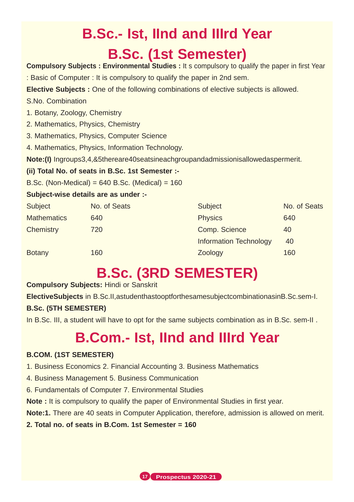## **B.Sc.- Ist, IInd and IIIrd Year B.Sc. (1st Semester)**

**Compulsory Subjects : Environmental Studies :** It s compulsory to qualify the paper in first Year

: Basic of Computer : It is compulsory to qualify the paper in 2nd sem.

**Elective Subjects :** One of the following combinations of elective subjects is allowed.

- S.No. Combination
- 1. Botany, Zoology, Chemistry
- 2. Mathematics, Physics, Chemistry
- 3. Mathematics, Physics, Computer Science
- 4. Mathematics, Physics, Information Technology.

**Note:(I)** Ingroups3,4,&5thereare40seatsineachgroupandadmissionisallowedaspermerit.

#### **(ii) Total No. of seats in B.Sc. 1st Semester :-**

B.Sc. (Non-Medical) =  $640$  B.Sc. (Medical) =  $160$ 

#### **Subject-wise details are as under :-**

| Subject            | No. of Seats | Subject                       | No. of Seats |
|--------------------|--------------|-------------------------------|--------------|
| <b>Mathematics</b> | 640          | <b>Physics</b>                | 640          |
| Chemistry          | 720          | Comp. Science                 | 40           |
|                    |              | <b>Information Technology</b> | 40           |
| <b>Botany</b>      | 160          | Zoology                       | 160          |

## **B.Sc. (3RD SEMESTER)**

#### **Compulsory Subjects:** Hindi or Sanskrit

**ElectiveSubjects** in B.Sc.II,astudenthastooptforthesamesubjectcombinationasinB.Sc.sem-I. **B.Sc. (5TH SEMESTER)**

In B.Sc. III, a student will have to opt for the same subjects combination as in B.Sc. sem-II .

## **B.Com.- Ist, IInd and IIIrd Year**

#### **B.COM. (1ST SEMESTER)**

1. Business Economics 2. Financial Accounting 3. Business Mathematics

- 4. Business Management 5. Business Communication
- 6. Fundamentals of Computer 7. Environmental Studies

**Note :** It is compulsory to qualify the paper of Environmental Studies in first year.

**Note:1.** There are 40 seats in Computer Application, therefore, admission is allowed on merit.

#### **2. Total no. of seats in B.Com. 1st Semester = 160**

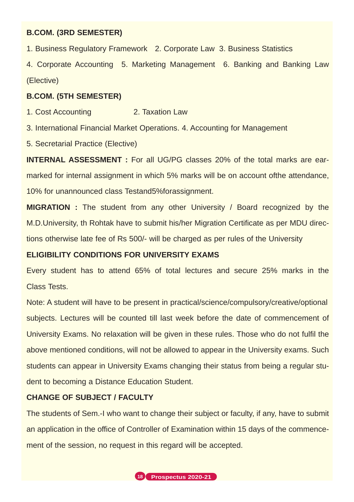#### **B.COM. (3RD SEMESTER)**

1. Business Regulatory Framework 2. Corporate Law 3. Business Statistics

4. Corporate Accounting 5. Marketing Management 6. Banking and Banking Law (Elective)

#### **B.COM. (5TH SEMESTER)**

1. Cost Accounting 2. Taxation Law

3. International Financial Market Operations. 4. Accounting for Management

5. Secretarial Practice (Elective)

**INTERNAL ASSESSMENT :** For all UG/PG classes 20% of the total marks are earmarked for internal assignment in which 5% marks will be on account ofthe attendance, 10% for unannounced class Testand5%forassignment.

**MIGRATION** : The student from any other University / Board recognized by the M.D.University, th Rohtak have to submit his/her Migration Certificate as per MDU directions otherwise late fee of Rs 500/- will be charged as per rules of the University

#### **ELIGIBILITY CONDITIONS FOR UNIVERSITY EXAMS**

Every student has to attend 65% of total lectures and secure 25% marks in the Class Tests.

Note: A student will have to be present in practical/science/compulsory/creative/optional subjects. Lectures will be counted till last week before the date of commencement of University Exams. No relaxation will be given in these rules. Those who do not fulfil the above mentioned conditions, will not be allowed to appear in the University exams. Such students can appear in University Exams changing their status from being a regular student to becoming a Distance Education Student.

#### **CHANGE OF SUBJECT / FACULTY**

The students of Sem.-I who want to change their subject or faculty, if any, have to submit an application in the office of Controller of Examination within 15 days of the commencement of the session, no request in this regard will be accepted.

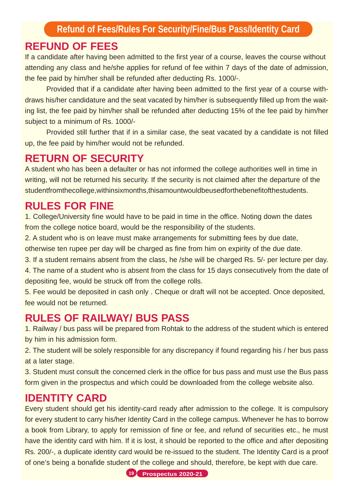#### **REFUND OF FEES**

If a candidate after having been admitted to the first year of a course, leaves the course without attending any class and he/she applies for refund of fee within 7 days of the date of admission, the fee paid by him/her shall be refunded after deducting Rs. 1000/-.

Provided that if a candidate after having been admitted to the first year of a course withdraws his/her candidature and the seat vacated by him/her is subsequently filled up from the waiting list, the fee paid by him/her shall be refunded after deducting 15% of the fee paid by him/her subject to a minimum of Rs. 1000/-

Provided still further that if in a similar case, the seat vacated by a candidate is not filled up, the fee paid by him/her would not be refunded.

#### **RETURN OF SECURITY**

A student who has been a defaulter or has not informed the college authorities well in time in writing, will not be returned his security. If the security is not claimed after the departure of the studentfromthecollege,withinsixmonths,thisamountwouldbeusedforthebenefitofthestudents.

#### **RULES FOR FINE**

1. College/University fine would have to be paid in time in the office. Noting down the dates from the college notice board, would be the responsibility of the students.

2. A student who is on leave must make arrangements for submitting fees by due date,

otherwise ten rupee per day will be charged as fine from him on expirity of the due date.

3. If a student remains absent from the class, he /she will be charged Rs. 5/- per lecture per day.

4. The name of a student who is absent from the class for 15 days consecutively from the date of depositing fee, would be struck off from the college rolls.

5. Fee would be deposited in cash only . Cheque or draft will not be accepted. Once deposited, fee would not be returned.

#### **RULES OF RAILWAY/ BUS PASS**

1. Railway / bus pass will be prepared from Rohtak to the address of the student which is entered by him in his admission form.

2. The student will be solely responsible for any discrepancy if found regarding his / her bus pass at a later stage.

3. Student must consult the concerned clerk in the office for bus pass and must use the Bus pass form given in the prospectus and which could be downloaded from the college website also.

#### **IDENTITY CARD**

Every student should get his identity-card ready after admission to the college. It is compulsory for every student to carry his/her Identity Card in the college campus. Whenever he has to borrow a book from Library, to apply for remission of fine or fee, and refund of securities etc., he must have the identity card with him. If it is lost, it should be reported to the office and after depositing Rs. 200/-, a duplicate identity card would be re-issued to the student. The Identity Card is a proof of one's being a bonafide student of the college and should, therefore, be kept with due care.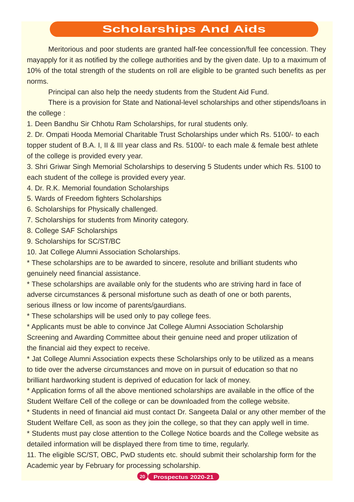#### **Scholarships And Aids**

Meritorious and poor students are granted half-fee concession/full fee concession. They mayapply for it as notified by the college authorities and by the given date. Up to a maximum of 10% of the total strength of the students on roll are eligible to be granted such benefits as per norms.

Principal can also help the needy students from the Student Aid Fund.

There is a provision for State and National-level scholarships and other stipends/loans in the college :

1. Deen Bandhu Sir Chhotu Ram Scholarships, for rural students only.

2. Dr. Ompati Hooda Memorial Charitable Trust Scholarships under which Rs. 5100/- to each topper student of B.A. I, II & III year class and Rs. 5100/- to each male & female best athlete of the college is provided every year.

3. Shri Griwar Singh Memorial Scholarships to deserving 5 Students under which Rs. 5100 to each student of the college is provided every year.

- 4. Dr. R.K. Memorial foundation Scholarships
- 5. Wards of Freedom fighters Scholarships
- 6. Scholarships for Physically challenged.
- 7. Scholarships for students from Minority category.
- 8. College SAF Scholarships
- 9. Scholarships for SC/ST/BC

10. Jat College Alumni Association Scholarships.

\* These scholarships are to be awarded to sincere, resolute and brilliant students who genuinely need financial assistance.

\* These scholarships are available only for the students who are striving hard in face of adverse circumstances & personal misfortune such as death of one or both parents, serious illness or low income of parents/gaurdians.

\* These scholarships will be used only to pay college fees.

\* Applicants must be able to convince Jat College Alumni Association Scholarship Screening and Awarding Committee about their genuine need and proper utilization of the financial aid they expect to receive.

\* Jat College Alumni Association expects these Scholarships only to be utilized as a means to tide over the adverse circumstances and move on in pursuit of education so that no brilliant hardworking student is deprived of education for lack of money.

\* Application forms of all the above mentioned scholarships are available in the office of the Student Welfare Cell of the college or can be downloaded from the college website.

\* Students in need of financial aid must contact Dr. Sangeeta Dalal or any other member of the Student Welfare Cell, as soon as they join the college, so that they can apply well in time.

\* Students must pay close attention to the College Notice boards and the College website as detailed information will be displayed there from time to time, regularly.

11. The eligible SC/ST, OBC, PwD students etc. should submit their scholarship form for the Academic year by February for processing scholarship.

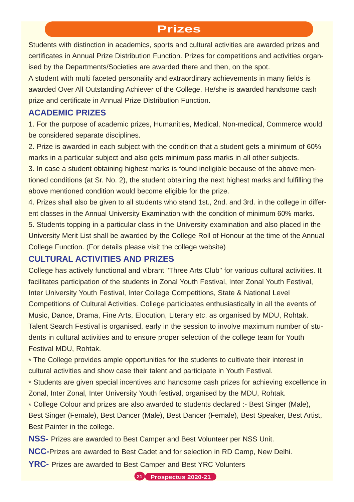#### **Prizes**

Students with distinction in academics, sports and cultural activities are awarded prizes and certificates in Annual Prize Distribution Function. Prizes for competitions and activities organised by the Departments/Societies are awarded there and then, on the spot.

A student with multi faceted personality and extraordinary achievements in many fields is awarded Over All Outstanding Achiever of the College. He/she is awarded handsome cash prize and certificate in Annual Prize Distribution Function.

#### **ACADEMIC PRIZES**

1. For the purpose of academic prizes, Humanities, Medical, Non-medical, Commerce would be considered separate disciplines.

2. Prize is awarded in each subject with the condition that a student gets a minimum of 60% marks in a particular subject and also gets minimum pass marks in all other subjects.

3. In case a student obtaining highest marks is found ineligible because of the above mentioned conditions (at Sr. No. 2), the student obtaining the next highest marks and fulfilling the above mentioned condition would become eligible for the prize.

4. Prizes shall also be given to all students who stand 1st., 2nd. and 3rd. in the college in different classes in the Annual University Examination with the condition of minimum 60% marks.

5. Students topping in a particular class in the University examination and also placed in the University Merit List shall be awarded by the College Roll of Honour at the time of the Annual College Function. (For details please visit the college website)

#### **CULTURAL ACTIVITIES AND PRIZES**

College has actively functional and vibrant "Three Arts Club" for various cultural activities. It facilitates participation of the students in Zonal Youth Festival, Inter Zonal Youth Festival, Inter University Youth Festival, Inter College Competitions, State & National Level Competitions of Cultural Activities. College participates enthusiastically in all the events of Music, Dance, Drama, Fine Arts, Elocution, Literary etc. as organised by MDU, Rohtak. Talent Search Festival is organised, early in the session to involve maximum number of students in cultural activities and to ensure proper selection of the college team for Youth Festival MDU, Rohtak.

\* The College provides ample opportunities for the students to cultivate their interest in cultural activities and show case their talent and participate in Youth Festival.

\* Students are given special incentives and handsome cash prizes for achieving excellence in Zonal, Inter Zonal, Inter University Youth festival, organised by the MDU, Rohtak.

\* College Colour and prizes are also awarded to students declared :- Best Singer (Male), Best Singer (Female), Best Dancer (Male), Best Dancer (Female), Best Speaker, Best Artist, Best Painter in the college.

**NSS-** Prizes are awarded to Best Camper and Best Volunteer per NSS Unit.

**NCC-**Prizes are awarded to Best Cadet and for selection in RD Camp, New Delhi.

**YRC-** Prizes are awarded to Best Camper and Best YRC Volunters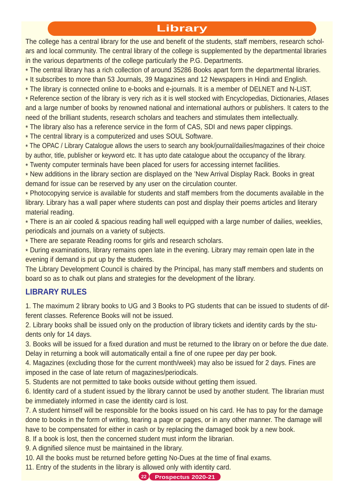#### **Library**

The college has a central library for the use and benefit of the students, staff members, research scholars and local community. The central library of the college is supplemented by the departmental libraries in the various departments of the college particularly the P.G. Departments.

\* The central library has a rich collection of around 35286 Books apart form the departmental libraries.

- \* It subscribes to more than 53 Journals, 39 Magazines and 12 Newspapers in Hindi and English.
- \* The library is connected online to e-books and e-journals. It is a member of DELNET and N-LIST.

\* Reference section of the library is very rich as it is well stocked with Encyclopedias, Dictionaries, Atlases and a large number of books by renowned national and international authors or publishers. It caters to the need of the brilliant students, research scholars and teachers and stimulates them intellectually.

\* The library also has a reference service in the form of CAS, SDI and news paper clippings.

\* The central library is a computerized and uses SOUL Software.

\* The OPAC / Library Catalogue allows the users to search any book/journal/dailies/magazines of their choice by author, title, publisher or keyword etc. It has upto date catalogue about the occupancy of the library. \* Twenty computer terminals have been placed for users for accessing internet facilities.

\* New additions in the library section are displayed on the 'New Arrival Display Rack. Books in great demand for issue can be reserved by any user on the circulation counter.

\* Photocopying service is available for students and staff members from the documents available in the library. Library has a wall paper where students can post and display their poems articles and literary material reading.

\* There is an air cooled & spacious reading hall well equipped with a large number of dailies, weeklies, periodicals and journals on a variety of subjects.

\* There are separate Reading rooms for girls and research scholars.

\* During examinations, library remains open late in the evening. Library may remain open late in the evening if demand is put up by the students.

The Library Development Council is chaired by the Principal, has many staff members and students on board so as to chalk out plans and strategies for the development of the library.

#### **LIBRARY RULES**

1. The maximum 2 library books to UG and 3 Books to PG students that can be issued to students of different classes. Reference Books will not be issued.

2. Library books shall be issued only on the production of library tickets and identity cards by the students only for 14 days.

3. Books will be issued for a fixed duration and must be returned to the library on or before the due date. Delay in returning a book will automatically entail a fine of one rupee per day per book.

4. Magazines (excluding those for the current month/week) may also be issued for 2 days. Fines are imposed in the case of late return of magazines/periodicals.

5. Students are not permitted to take books outside without getting them issued.

6. Identity card of a student issued by the library cannot be used by another student. The librarian must be immediately informed in case the identity card is lost.

7. A student himself will be responsible for the books issued on his card. He has to pay for the damage done to books in the form of writing, tearing a page or pages, or in any other manner. The damage will have to be compensated for either in cash or by replacing the damaged book by a new book.

8. If a book is lost, then the concerned student must inform the librarian.

9. A dignified silence must be maintained in the library.

10. All the books must be returned before getting No-Dues at the time of final exams.

11. Entry of the students in the library is allowed only with identity card.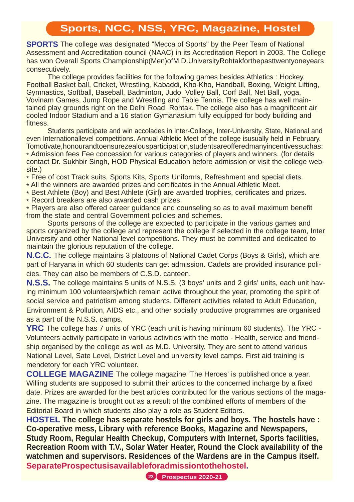#### **Sports, NCC, NSS, YRC, Magazine, Hostel**

**SPORTS** The college was designated "Mecca of Sports" by the Peer Team of National Assessment and Accreditation council (NAAC) in its Accreditation Report in 2003. The College has won Overall Sports Championship(Men)ofM.D.UniversityRohtakforthepasttwentyoneyears consecutively.

The college provides facilities for the following games besides Athletics : Hockey, Football Basket ball, Cricket, Wrestling, Kabaddi, Kho-Kho, Handball, Boxing, Weight Lifting, Gymnastics, Softball, Baseball, Badminton, Judo, Volley Ball, Corf Ball, Net Ball, yoga, Vovinam Games, Jump Rope and Wrestling and Table Tennis. The college has well maintained play grounds right on the Delhi Road, Rohtak. The college also has a magnificent air cooled Indoor Stadium and a 16 station Gymanasium fully equipped for body building and fitness.

Students participate and win accolades in Inter-College, Inter-University, State, National and even Internationallevel competitions. Annual Athletic Meet of the college isusually held in February. Tomotivate,honourandtoensurezealousparticipation,studentsareofferedmanyincentivessuchas: \* Admission fees Fee concession for various categories of players and winners. (for details contact Dr. Sukhbir Singh, HOD Physical Education before admission or visit the college website.)

\* Free of cost Track suits, Sports Kits, Sports Uniforms, Refreshment and special diets.

- \* All the winners are awarded prizes and certificates in the Annual Athletic Meet.
- \* Best Athlete (Boy) and Best Athlete (Girl) are awarded trophies, certificates and prizes.
- \* Record breakers are also awarded cash prizes.

\* Players are also offered career guidance and counseling so as to avail maximum benefit from the state and central Government policies and schemes.

Sports persons of the college are expected to participate in the various games and sports organized by the college and represent the college if selected in the college team, Inter University and other National level competitions. They must be committed and dedicated to maintain the glorious reputation of the college.

**N.C.C.** The college maintains 3 platoons of National Cadet Corps (Boys & Girls), which are part of Haryana in which 60 students can get admission. Cadets are provided insurance policies. They can also be members of C.S.D. canteen.

**N.S.S.** The college maintains 5 units of N.S.S. (3 boys' units and 2 girls' units, each unit having minimum 100 volunteers)which remain active throughout the year, promoting the spirit of social service and patriotism among students. Different activities related to Adult Education, Environment & Pollution, AIDS etc., and other socially productive programmes are organised as a part of the N.S.S. camps.

**YRC** The college has 7 units of YRC (each unit is having minimum 60 students). The YRC - Volunteers activily participate in various activities with the motto - Health, service and friendship organised by the college as well as M.D. University. They are sent to attend various National Level, Sate Level, District Level and university level camps. First aid training is mendetory for each YRC volunteer.

**COLLEGE MAGAZINE** The college magazine 'The Heroes' is published once a year. Willing students are supposed to submit their articles to the concerned incharge by a fixed date. Prizes are awarded for the best articles contributed for the various sections of the magazine. The magazine is brought out as a result of the combined efforts of members of the Editorial Board in which students also play a role as Student Editors.

**HOSTEL The college has separate hostels for girls and boys. The hostels have : Co-operative mess, Library with reference Books, Magazine and Newspapers, Study Room, Regular Health Checkup, Computers with Internet, Sports facilities, Recreation Room with T.V., Solar Water Heater, Round the Clock availability of the watchmen and supervisors. Residences of the Wardens are in the Campus itself. SeparateProspectusisavailableforadmissiontothehostel.**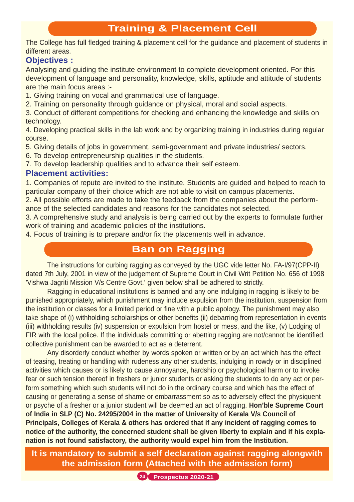#### **Training & Placement Cell**

The College has full fledged training & placement cell for the guidance and placement of students in different areas.

#### **Objectives :**

Analysing and guiding the institute environment to complete development oriented. For this development of language and personality, knowledge, skills, aptitude and attitude of students are the main focus areas :-

1. Giving training on vocal and grammatical use of language.

2. Training on personality through guidance on physical, moral and social aspects.

3. Conduct of different competitions for checking and enhancing the knowledge and skills on technology.

4. Developing practical skills in the lab work and by organizing training in industries during regular course.

5. Giving details of jobs in government, semi-government and private industries/ sectors.

6. To develop entrepreneurship qualities in the students.

7. To develop leadership qualities and to advance their self esteem.

#### **Placement activities:**

1. Companies of repute are invited to the institute. Students are guided and helped to reach to particular company of their choice which are not able to visit on campus placements.

2. All possible efforts are made to take the feedback from the companies about the performance of the selected candidates and reasons for the candidates not selected.

3. A comprehensive study and analysis is being carried out by the experts to formulate further work of training and academic policies of the institutions.

4. Focus of training is to prepare and/or fix the placements well in advance.

#### **Ban on Ragging**

The instructions for curbing ragging as conveyed by the UGC vide letter No. FA-I/97(CPP-II) dated 7th July, 2001 in view of the judgement of Supreme Court in Civil Writ Petition No. 656 of 1998 'Vishwa Jagriti Mission V/s Centre Govt.' given below shall be adhered to strictly.

Ragging in educational institutions is banned and any one indulging in ragging is likely to be punished appropriately, which punishment may include expulsion from the institution, suspension from the institution or classes for a limited period or fine with a public apology. The punishment may also take shape of (i) withholding scholarships or other benefits (ii) debarring from representation in events (iii) withholding results (iv) suspension or expulsion from hostel or mess, and the like, (v) Lodging of FIR with the local police. If the individuals committing or abetting ragging are not/cannot be identified, collective punishment can be awarded to act as a deterrent.

Any disorderly conduct whether by words spoken or written or by an act which has the effect of teasing, treating or handling with rudeness any other students, indulging in rowdy or in disciplined activities which causes or is likely to cause annoyance, hardship or psychological harm or to invoke fear or such tension thereof in freshers or junior students or asking the students to do any act or perform something which such students will not do in the ordinary course and which has the effect of causing or generating a sense of shame or embarrassment so as to adversely effect the physiquent or psyche of a fresher or a junior student will be deemed an act of ragging. **Hon'ble Supreme Court of India in SLP (C) No. 24295/2004 in the matter of University of Kerala V/s Council of Principals, Colleges of Kerala & others has ordered that if any incident of ragging comes to notice of the authority, the concerned student shall be given liberty to explain and if his explanation is not found satisfactory, the authority would expel him from the Institution.**

**It is mandatory to submit a self declaration against ragging alongwith the admission form (Attached with the admission form)** 

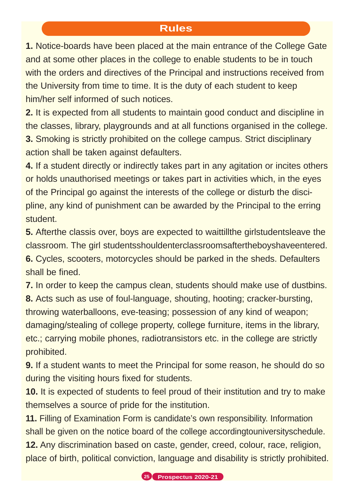#### **Rules**

**1.** Notice-boards have been placed at the main entrance of the College Gate and at some other places in the college to enable students to be in touch with the orders and directives of the Principal and instructions received from the University from time to time. It is the duty of each student to keep him/her self informed of such notices.

**2.** It is expected from all students to maintain good conduct and discipline in the classes, library, playgrounds and at all functions organised in the college. **3.** Smoking is strictly prohibited on the college campus. Strict disciplinary action shall be taken against defaulters.

**4.** If a student directly or indirectly takes part in any agitation or incites others or holds unauthorised meetings or takes part in activities which, in the eyes of the Principal go against the interests of the college or disturb the discipline, any kind of punishment can be awarded by the Principal to the erring student.

**5.** Afterthe classis over, boys are expected to waittillthe girlstudentsleave the classroom. The girl studentsshouldenterclassroomsaftertheboyshaveentered. **6.** Cycles, scooters, motorcycles should be parked in the sheds. Defaulters shall be fined.

**7.** In order to keep the campus clean, students should make use of dustbins. **8.** Acts such as use of foul-language, shouting, hooting; cracker-bursting, throwing waterballoons, eve-teasing; possession of any kind of weapon; damaging/stealing of college property, college furniture, items in the library, etc.; carrying mobile phones, radiotransistors etc. in the college are strictly prohibited.

**9.** If a student wants to meet the Principal for some reason, he should do so during the visiting hours fixed for students.

**10.** It is expected of students to feel proud of their institution and try to make themselves a source of pride for the institution.

**11.** Filling of Examination Form is candidate's own responsibility. Information shall be given on the notice board of the college accordingtouniversityschedule.

**12.** Any discrimination based on caste, gender, creed, colour, race, religion, place of birth, political conviction, language and disability is strictly prohibited.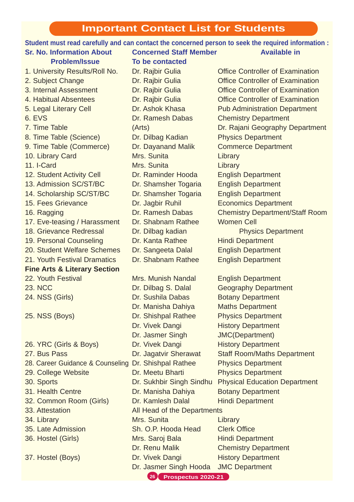## **Important Contact List for Students**

|                                                      |                               | Student must read carefully and can contact the concerned person to seek the required information : |
|------------------------------------------------------|-------------------------------|-----------------------------------------------------------------------------------------------------|
| <b>Sr. No. Information About</b>                     | <b>Concerned Staff Member</b> | <b>Available in</b>                                                                                 |
| <b>Problem/Issue</b>                                 | To be contacted               |                                                                                                     |
| 1. University Results/Roll No.                       | Dr. Rajbir Gulia              | <b>Office Controller of Examination</b>                                                             |
| 2. Subject Change                                    | Dr. Rajbir Gulia              | <b>Office Controller of Examination</b>                                                             |
| 3. Internal Assessment                               | Dr. Rajbir Gulia              | <b>Office Controller of Examination</b>                                                             |
| 4. Habitual Absentees                                | Dr. Rajbir Gulia              | <b>Office Controller of Examination</b>                                                             |
| 5. Legal Literary Cell                               | Dr. Ashok Khasa               | <b>Pub Administration Department</b>                                                                |
| 6. EVS                                               | Dr. Ramesh Dabas              | <b>Chemistry Department</b>                                                                         |
| 7. Time Table                                        | (Arts)                        | Dr. Rajani Geography Department                                                                     |
| 8. Time Table (Science)                              | Dr. Dilbag Kadian             | <b>Physics Department</b>                                                                           |
| 9. Time Table (Commerce)                             | Dr. Dayanand Malik            | <b>Commerce Department</b>                                                                          |
| 10. Library Card                                     | Mrs. Sunita                   | Library                                                                                             |
| 11. I-Card                                           | Mrs. Sunita                   | Library                                                                                             |
| 12. Student Activity Cell                            | Dr. Raminder Hooda            | <b>English Department</b>                                                                           |
| 13. Admission SC/ST/BC                               | Dr. Shamsher Togaria          | <b>English Department</b>                                                                           |
| 14. Scholarship SC/ST/BC                             | Dr. Shamsher Togaria          | <b>English Department</b>                                                                           |
| 15. Fees Grievance                                   | Dr. Jagbir Ruhil              | <b>Economics Department</b>                                                                         |
| 16. Ragging                                          | Dr. Ramesh Dabas              | <b>Chemistry Department/Staff Room</b>                                                              |
| 17. Eve-teasing / Harassment                         | Dr. Shabnam Rathee            | <b>Women Cell</b>                                                                                   |
| 18. Grievance Redressal                              | Dr. Dilbag kadian             | <b>Physics Department</b>                                                                           |
| 19. Personal Counseling                              | Dr. Kanta Rathee              | <b>Hindi Department</b>                                                                             |
| 20. Student Welfare Schemes                          | Dr. Sangeeta Dalal            | <b>English Department</b>                                                                           |
| 21. Youth Festival Dramatics                         | Dr. Shabnam Rathee            | <b>English Department</b>                                                                           |
| <b>Fine Arts &amp; Literary Section</b>              |                               |                                                                                                     |
| 22. Youth Festival                                   | Mrs. Munish Nandal            | <b>English Department</b>                                                                           |
| <b>23. NCC</b>                                       | Dr. Dilbag S. Dalal           | <b>Geography Department</b>                                                                         |
| 24. NSS (Girls)                                      | Dr. Sushila Dabas             | <b>Botany Department</b>                                                                            |
|                                                      | Dr. Manisha Dahiya            | <b>Maths Department</b>                                                                             |
| 25. NSS (Boys)                                       | Dr. Shishpal Rathee           | <b>Physics Department</b>                                                                           |
|                                                      | Dr. Vivek Dangi               | <b>History Department</b>                                                                           |
|                                                      | Dr. Jasmer Singh              | <b>JMC(Department)</b>                                                                              |
| 26. YRC (Girls & Boys)                               | Dr. Vivek Dangi               | <b>History Department</b>                                                                           |
| 27. Bus Pass                                         | Dr. Jagatvir Sherawat         | <b>Staff Room/Maths Department</b>                                                                  |
| 28. Career Guidance & Counseling Dr. Shishpal Rathee |                               | <b>Physics Department</b>                                                                           |
| 29. College Website                                  | Dr. Meetu Bharti              | <b>Physics Department</b>                                                                           |
| 30. Sports                                           | Dr. Sukhbir Singh Sindhu      | <b>Physical Education Department</b>                                                                |
| 31. Health Centre                                    | Dr. Manisha Dahiya            | <b>Botany Department</b>                                                                            |
| 32. Common Room (Girls)                              | Dr. Kamlesh Dalal             | <b>Hindi Department</b>                                                                             |
| 33. Attestation                                      | All Head of the Departments   |                                                                                                     |
| 34. Library                                          | Mrs. Sunita                   | Library                                                                                             |
| 35. Late Admission                                   | Sh. O.P. Hooda Head           | <b>Clerk Office</b>                                                                                 |
| 36. Hostel (Girls)                                   | Mrs. Saroj Bala               | <b>Hindi Department</b>                                                                             |
|                                                      | Dr. Renu Malik                | <b>Chemistry Department</b>                                                                         |
| 37. Hostel (Boys)                                    | Dr. Vivek Dangi               | <b>History Department</b>                                                                           |
|                                                      | Dr. Jasmer Singh Hooda        | <b>JMC Department</b>                                                                               |